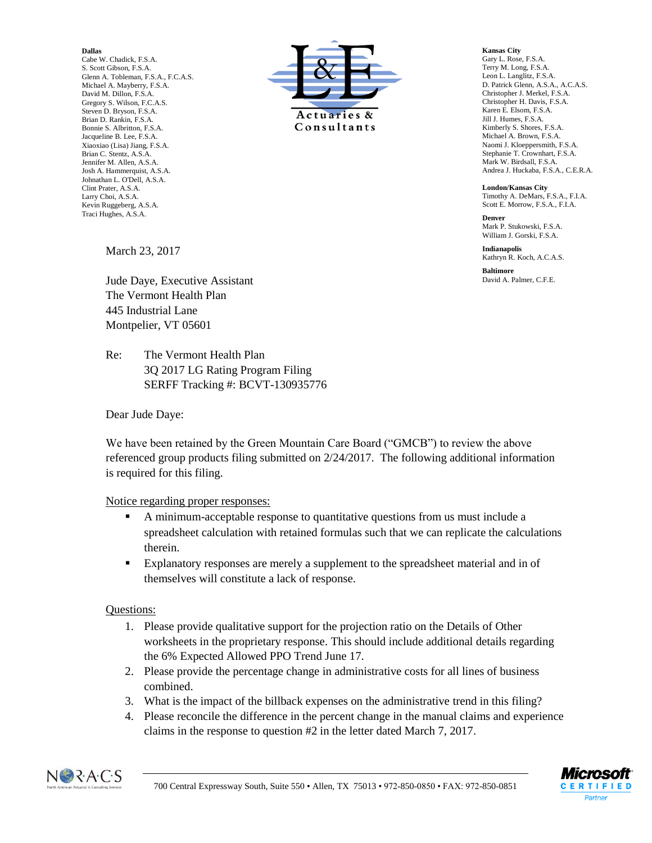## **Dallas**

Cabe W. Chadick, F.S.A. S. Scott Gibson, F.S.A. Glenn A. Tobleman, F.S.A., F.C.A.S. Michael A. Mayberry, F.S.A. David M. Dillon, F.S.A. Gregory S. Wilson, F.C.A.S. Steven D. Bryson, F.S.A. Brian D. Rankin, F.S.A. Bonnie S. Albritton, F.S.A. Jacqueline B. Lee, F.S.A. Xiaoxiao (Lisa) Jiang, F.S.A. Brian C. Stentz, A.S.A. Jennifer M. Allen, A.S.A. Josh A. Hammerquist, A.S.A. Johnathan L. O'Dell, A.S.A. Clint Prater, A.S.A. Larry Choi, A.S.A. Kevin Ruggeberg, A.S.A. Traci Hughes, A.S.A.



**Kansas City** Gary L. Rose, F.S.A. Terry M. Long, F.S.A. Leon L. Langlitz, F.S.A. D. Patrick Glenn, A.S.A., A.C.A.S. Christopher J. Merkel, F.S.A. Christopher H. Davis, F.S.A. Karen E. Elsom, F.S.A. Jill J. Humes, F.S.A. Kimberly S. Shores, F.S.A. Michael A. Brown, F.S.A. Naomi J. Kloeppersmith, F.S.A. Stephanie T. Crownhart, F.S.A. Mark W. Birdsall, F.S.A. Andrea J. Huckaba, F.S.A., C.E.R.A.

**London/Kansas City** Timothy A. DeMars, F.S.A., F.I.A. Scott E. Morrow, F.S.A., F.I.A.

**Denver** Mark P. Stukowski, F.S. A. William J. Gorski, F.S.A.

**Indianapolis** Kathryn R. Koch, A.C.A.S.

**Baltimore** David A. Palmer, C.F.E.

March 23, 2017

Jude Daye, Executive Assistant The Vermont Health Plan 445 Industrial Lane Montpelier, VT 05601

Re: The Vermont Health Plan 3Q 2017 LG Rating Program Filing SERFF Tracking #: BCVT-130935776

Dear Jude Daye:

We have been retained by the Green Mountain Care Board ("GMCB") to review the above referenced group products filing submitted on 2/24/2017. The following additional information is required for this filing.

## Notice regarding proper responses:

- A minimum-acceptable response to quantitative questions from us must include a spreadsheet calculation with retained formulas such that we can replicate the calculations therein.
- Explanatory responses are merely a supplement to the spreadsheet material and in of themselves will constitute a lack of response.

## Questions:

- 1. Please provide qualitative support for the projection ratio on the Details of Other worksheets in the proprietary response. This should include additional details regarding the 6% Expected Allowed PPO Trend June 17.
- 2. Please provide the percentage change in administrative costs for all lines of business combined.
- 3. What is the impact of the billback expenses on the administrative trend in this filing?
- 4. Please reconcile the difference in the percent change in the manual claims and experience claims in the response to question #2 in the letter dated March 7, 2017.